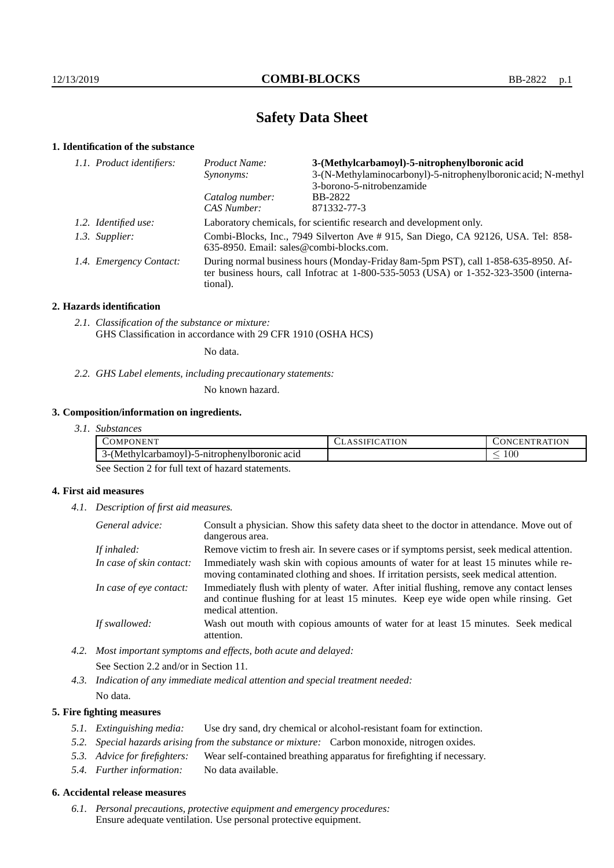# **Safety Data Sheet**

# **1. Identification of the substance**

| Product Name:                                                                                                                                                                           | 3-(Methylcarbamoyl)-5-nitrophenylboronic acid                 |  |
|-----------------------------------------------------------------------------------------------------------------------------------------------------------------------------------------|---------------------------------------------------------------|--|
| Synonyms:                                                                                                                                                                               | 3-(N-Methylaminocarbonyl)-5-nitrophenylboronic acid; N-methyl |  |
|                                                                                                                                                                                         | 3-borono-5-nitrobenzamide                                     |  |
| Catalog number:                                                                                                                                                                         | BB-2822                                                       |  |
| CAS Number:                                                                                                                                                                             | 871332-77-3                                                   |  |
| Laboratory chemicals, for scientific research and development only.                                                                                                                     |                                                               |  |
| Combi-Blocks, Inc., 7949 Silverton Ave #915, San Diego, CA 92126, USA. Tel: 858-<br>635-8950. Email: sales@combi-blocks.com.                                                            |                                                               |  |
| During normal business hours (Monday-Friday 8am-5pm PST), call 1-858-635-8950. Af-<br>ter business hours, call Infotrac at 1-800-535-5053 (USA) or 1-352-323-3500 (interna-<br>tional). |                                                               |  |
| 1.1. Product identifiers:<br>1.2. Identified use:<br>1.3. Supplier:<br>1.4. Emergency Contact:                                                                                          |                                                               |  |

# **2. Hazards identification**

*2.1. Classification of the substance or mixture:* GHS Classification in accordance with 29 CFR 1910 (OSHA HCS)

No data.

*2.2. GHS Label elements, including precautionary statements:*

No known hazard.

# **3. Composition/information on ingredients.**

*3.1. Substances*

| $\sqrt{EN}$<br>PUN<br>JMP'                                                   | .ION<br>ULADOIL. | $\cdots$<br>ATION<br>$\cdot$ N |
|------------------------------------------------------------------------------|------------------|--------------------------------|
| ropheny<br>( Methylcarbamov<br>boronic acid<br>า∨เ<br>ул 1-Э-1111 с.,<br>1-1 |                  | 100                            |

See Section 2 for full text of hazard statements.

# **4. First aid measures**

*4.1. Description of first aid measures.*

| General advice:          | Consult a physician. Show this safety data sheet to the doctor in attendance. Move out of<br>dangerous area.                                                                                            |
|--------------------------|---------------------------------------------------------------------------------------------------------------------------------------------------------------------------------------------------------|
| If inhaled:              | Remove victim to fresh air. In severe cases or if symptoms persist, seek medical attention.                                                                                                             |
| In case of skin contact: | Immediately wash skin with copious amounts of water for at least 15 minutes while re-<br>moving contaminated clothing and shoes. If irritation persists, seek medical attention.                        |
| In case of eye contact:  | Immediately flush with plenty of water. After initial flushing, remove any contact lenses<br>and continue flushing for at least 15 minutes. Keep eye wide open while rinsing. Get<br>medical attention. |
| If swallowed:            | Wash out mouth with copious amounts of water for at least 15 minutes. Seek medical<br>attention.                                                                                                        |

*4.2. Most important symptoms and effects, both acute and delayed:*

See Section 2.2 and/or in Section 11.

*4.3. Indication of any immediate medical attention and special treatment needed:*

# No data.

# **5. Fire fighting measures**

- *5.1. Extinguishing media:* Use dry sand, dry chemical or alcohol-resistant foam for extinction.
- *5.2. Special hazards arising from the substance or mixture:* Carbon monoxide, nitrogen oxides.
- *5.3. Advice for firefighters:* Wear self-contained breathing apparatus for firefighting if necessary.
- *5.4. Further information:* No data available.

## **6. Accidental release measures**

*6.1. Personal precautions, protective equipment and emergency procedures:* Ensure adequate ventilation. Use personal protective equipment.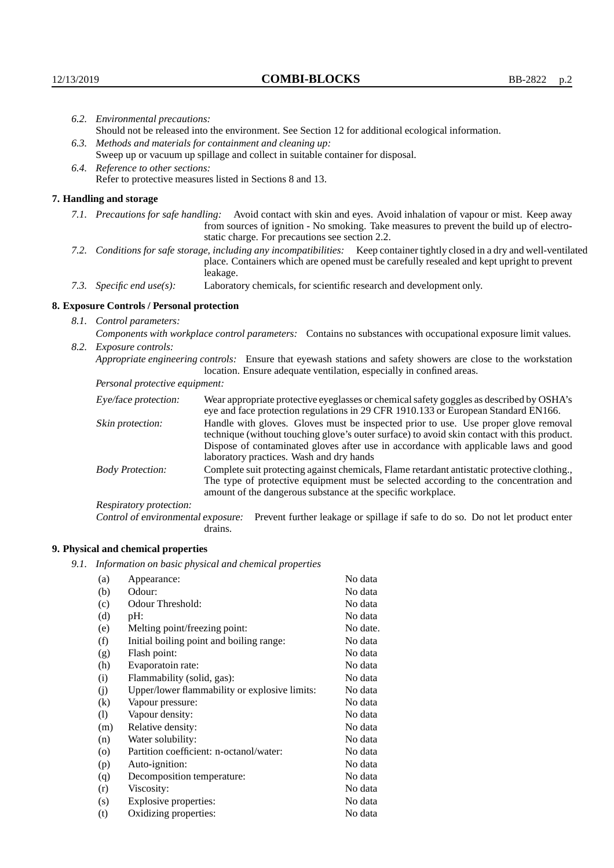| 6.2. Environmental precautions:                                                                                                                                                        |                                                                                                                                                                                                                                                                                                                        |  |
|----------------------------------------------------------------------------------------------------------------------------------------------------------------------------------------|------------------------------------------------------------------------------------------------------------------------------------------------------------------------------------------------------------------------------------------------------------------------------------------------------------------------|--|
| Should not be released into the environment. See Section 12 for additional ecological information.                                                                                     |                                                                                                                                                                                                                                                                                                                        |  |
| 6.3. Methods and materials for containment and cleaning up:                                                                                                                            |                                                                                                                                                                                                                                                                                                                        |  |
| Sweep up or vacuum up spillage and collect in suitable container for disposal.                                                                                                         |                                                                                                                                                                                                                                                                                                                        |  |
|                                                                                                                                                                                        |                                                                                                                                                                                                                                                                                                                        |  |
|                                                                                                                                                                                        | Refer to protective measures listed in Sections 8 and 13.                                                                                                                                                                                                                                                              |  |
| 7. Handling and storage                                                                                                                                                                |                                                                                                                                                                                                                                                                                                                        |  |
|                                                                                                                                                                                        | 7.1. Precautions for safe handling: Avoid contact with skin and eyes. Avoid inhalation of vapour or mist. Keep away<br>from sources of ignition - No smoking. Take measures to prevent the build up of electro-<br>static charge. For precautions see section 2.2.                                                     |  |
|                                                                                                                                                                                        | 7.2. Conditions for safe storage, including any incompatibilities: Keep container tightly closed in a dry and well-ventilated<br>place. Containers which are opened must be carefully resealed and kept upright to prevent<br>leakage.                                                                                 |  |
| 7.3. Specific end use(s):                                                                                                                                                              | Laboratory chemicals, for scientific research and development only.                                                                                                                                                                                                                                                    |  |
| 8. Exposure Controls / Personal protection                                                                                                                                             |                                                                                                                                                                                                                                                                                                                        |  |
|                                                                                                                                                                                        |                                                                                                                                                                                                                                                                                                                        |  |
|                                                                                                                                                                                        | Components with workplace control parameters: Contains no substances with occupational exposure limit values.                                                                                                                                                                                                          |  |
|                                                                                                                                                                                        |                                                                                                                                                                                                                                                                                                                        |  |
| Appropriate engineering controls: Ensure that eyewash stations and safety showers are close to the workstation<br>location. Ensure adequate ventilation, especially in confined areas. |                                                                                                                                                                                                                                                                                                                        |  |
| Personal protective equipment:                                                                                                                                                         |                                                                                                                                                                                                                                                                                                                        |  |
| Eye/face protection:                                                                                                                                                                   | Wear appropriate protective eyeglasses or chemical safety goggles as described by OSHA's<br>eye and face protection regulations in 29 CFR 1910.133 or European Standard EN166.                                                                                                                                         |  |
| Skin protection:                                                                                                                                                                       | Handle with gloves. Gloves must be inspected prior to use. Use proper glove removal<br>technique (without touching glove's outer surface) to avoid skin contact with this product.<br>Dispose of contaminated gloves after use in accordance with applicable laws and good<br>laboratory practices. Wash and dry hands |  |
| <b>Body Protection:</b>                                                                                                                                                                | Complete suit protecting against chemicals, Flame retardant antistatic protective clothing.,<br>The type of protective equipment must be selected according to the concentration and<br>amount of the dangerous substance at the specific workplace.                                                                   |  |
| Respiratory protection:                                                                                                                                                                |                                                                                                                                                                                                                                                                                                                        |  |
|                                                                                                                                                                                        | 6.4. Reference to other sections:<br>8.1. Control parameters:<br>8.2. Exposure controls:                                                                                                                                                                                                                               |  |

Control of environmental exposure: Prevent further leakage or spillage if safe to do so. Do not let product enter drains.

# **9. Physical and chemical properties**

*9.1. Information on basic physical and chemical properties*

| (a)                        | Appearance:                                   | No data  |
|----------------------------|-----------------------------------------------|----------|
| (b)                        | Odour:                                        | No data  |
| (c)                        | Odour Threshold:                              | No data  |
| (d)                        | pH:                                           | No data  |
| (e)                        | Melting point/freezing point:                 | No date. |
| (f)                        | Initial boiling point and boiling range:      | No data  |
| (g)                        | Flash point:                                  | No data  |
| (h)                        | Evaporatoin rate:                             | No data  |
| (i)                        | Flammability (solid, gas):                    | No data  |
| (j)                        | Upper/lower flammability or explosive limits: | No data  |
| $\rm(k)$                   | Vapour pressure:                              | No data  |
| $\left( \mathrm{l}\right)$ | Vapour density:                               | No data  |
| (m)                        | Relative density:                             | No data  |
| (n)                        | Water solubility:                             | No data  |
| $\rm (o)$                  | Partition coefficient: n-octanol/water:       | No data  |
| (p)                        | Auto-ignition:                                | No data  |
| (q)                        | Decomposition temperature:                    | No data  |
| (r)                        | Viscosity:                                    | No data  |
| (s)                        | Explosive properties:                         | No data  |
| (t)                        | Oxidizing properties:                         | No data  |